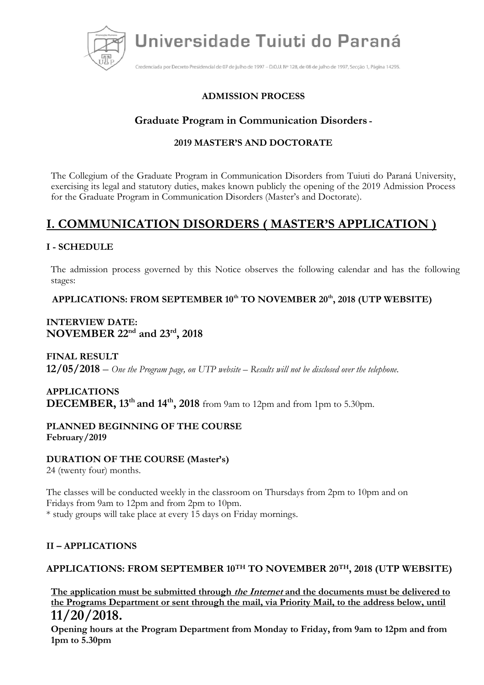

Credenciada por Decreto Presidencial de 07 de julho de 1997 - D.O.U. Nº 128, de 08 de julho de 1997, Secção 1, Página 14295.

## **ADMISSION PROCESS**

# **Graduate Program in Communication Disorders -**

### **2019 MASTER'S AND DOCTORATE**

The Collegium of the Graduate Program in Communication Disorders from Tuiuti do Paraná University, exercising its legal and statutory duties, makes known publicly the opening of the 2019 Admission Process for the Graduate Program in Communication Disorders (Master's and Doctorate).

# **I. COMMUNICATION DISORDERS ( MASTER'S APPLICATION )**

## **I - SCHEDULE**

The admission process governed by this Notice observes the following calendar and has the following stages:

**APPLICATIONS: FROM SEPTEMBER 10th TO NOVEMBER 20th, 2018 (UTP WEBSITE)**

## **INTERVIEW DATE: NOVEMBER 22nd and 23rd , 2018**

**FINAL RESULT 12/05/2018** – *One the Program page, on UTP website – Results will not be disclosed over the telephone.*

# **APPLICATIONS DECEMBER, 13th and 14th , 2018** from 9am to 12pm and from 1pm to 5.30pm.

#### **PLANNED BEGINNING OF THE COURSE February/2019**

#### **DURATION OF THE COURSE (Master's)**

24 (twenty four) months.

The classes will be conducted weekly in the classroom on Thursdays from 2pm to 10pm and on Fridays from 9am to 12pm and from 2pm to 10pm. \* study groups will take place at every 15 days on Friday mornings.

#### **II – APPLICATIONS**

#### **APPLICATIONS: FROM SEPTEMBER 10TH TO NOVEMBER 20TH, 2018 (UTP WEBSITE)**

**The application must be submitted through the Internet and the documents must be delivered to the Programs Department or sent through the mail, via Priority Mail, to the address below, until 11/20/2018.**

**Opening hours at the Program Department from Monday to Friday, from 9am to 12pm and from 1pm to 5.30pm**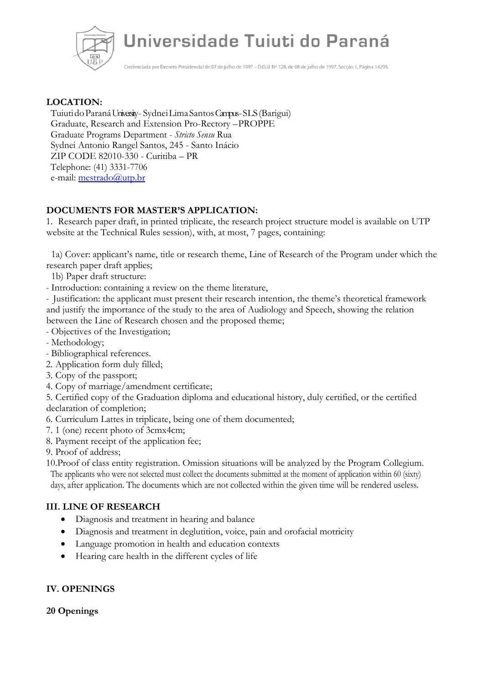

Credenciada por Decreto Presidencial de 07 de julho de 1997 - D.O.U. Nº 128, de 08 de julho de 1997, Secção 1, Página 14295.

#### **LOCATION:**

TuiutidoParanáUniversity - SydneiLimaSantosCampus -SLS(Barigui) Graduate, Research and Extension Pro-Rectory –PROPPE Graduate Programs Department - *Stricto Sensu* Rua Sydnei Antonio Rangel Santos, 245 - Santo Inácio ZIP CODE 82010-330 - Curitiba – PR Telephone: (41) 3331-7706 e-mail: [mestrado@utp.br](mailto:mestrado@utp.br)

## **DOCUMENTS FOR MASTER'S APPLICATION:**

1. Research paper draft, in printed triplicate, the research project structure model is available on UTP website at the Technical Rules session), with, at most, 7 pages, containing:

1a) Cover: applicant's name, title or research theme, Line of Research of the Program under which the research paper draft applies;

- 1b) Paper draft structure:
- Introduction: containing a review on the theme literature,

- Justification: the applicant must present their research intention, the theme's theoretical framework and justify the importance of the study to the area of Audiology and Speech, showing the relation between the Line of Research chosen and the proposed theme;

- Objectives of the Investigation;
- Methodology;
- Bibliographical references.
- 2. Application form duly filled;
- 3. Copy of the passport;
- 4. Copy of marriage/amendment certificate;

5. Certified copy of the Graduation diploma and educational history, duly certified, or the certified declaration of completion;

- 6. Curriculum Lattes in triplicate, being one of them documented;
- 7. 1 (one) recent photo of 3cmx4cm;
- 8. Payment receipt of the application fee;

9. Proof of address;

10.Proof of class entity registration. Omission situations will be analyzed by the Program Collegium. The applicants who were not selected must collect the documents submitted at the moment of application within 60 (sixty) days, after application. The documents which are not collected within the given time will be rendered useless.

#### **III. LINE OF RESEARCH**

- Diagnosis and treatment in hearing and balance
- Diagnosis and treatment in deglutition, voice, pain and orofacial motricity
- Language promotion in health and education contexts
- Hearing care health in the different cycles of life

#### **IV. OPENINGS**

#### **20 Openings**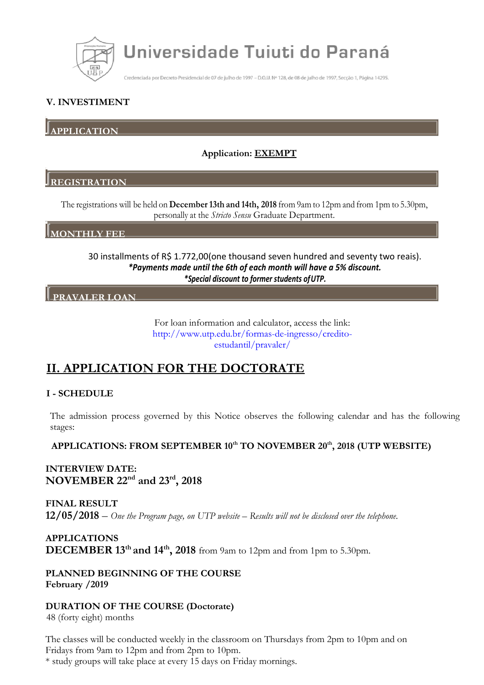

Credenciada por Decreto Presidencial de 07 de julho de 1997 - D.O.U. Nº 128, de 08 de julho de 1997, Secção 1, Página 14295.

## **V. INVESTIMENT**

**APPLICATION**

## **Application: EXEMPT**

#### **REGISTRATION**

The registrations will be held on **December13th and 14th, 2018** from 9am to 12pm and from 1pm to 5.30pm, personally at the *Stricto Sensu* Graduate Department.

#### **MONTHLY FEE**

30 installments of R\$ 1.772,00(one thousand seven hundred and seventy two reais). *\*Payments made until the 6th of each month will have a 5% discount. \*Special discount to former students ofUTP.*

## **PRAVALER LOAN**

For loan information and calculator, access the link: [http://www.utp.edu.br/formas-de-ingresso/credito](http://www.utp.edu.br/formas-de-ingresso/credito-estudantil/pravaler/)[estudantil/pravaler/](http://www.utp.edu.br/formas-de-ingresso/credito-estudantil/pravaler/)

# **II. APPLICATION FOR THE DOCTORATE**

#### **I - SCHEDULE**

The admission process governed by this Notice observes the following calendar and has the following stages:

#### **APPLICATIONS: FROM SEPTEMBER 10th TO NOVEMBER 20th, 2018 (UTP WEBSITE)**

## **INTERVIEW DATE: NOVEMBER 22nd and 23rd , 2018**

**FINAL RESULT 12/05/2018** – *One the Program page, on UTP website – Results will not be disclosed over the telephone.*

**APPLICATIONS DECEMBER 13th and 14th , 2018** from 9am to 12pm and from 1pm to 5.30pm.

**PLANNED BEGINNING OF THE COURSE February /2019**

**DURATION OF THE COURSE (Doctorate)**

48 (forty eight) months

The classes will be conducted weekly in the classroom on Thursdays from 2pm to 10pm and on Fridays from 9am to 12pm and from 2pm to 10pm.

\* study groups will take place at every 15 days on Friday mornings.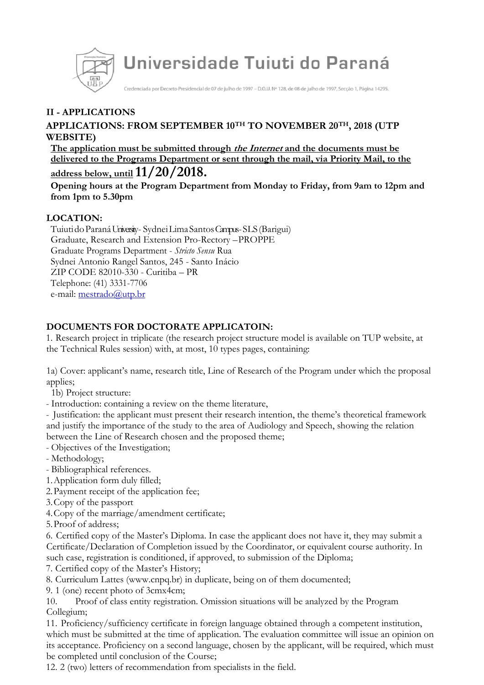

Credenciada por Decreto Presidencial de 07 de julho de 1997 - D.O.U. Nº 128, de 08 de julho de 1997, Seccão 1, Página 14295.

# **II - APPLICATIONS**

## **APPLICATIONS: FROM SEPTEMBER 10TH TO NOVEMBER 20TH, 2018 (UTP WEBSITE)**

**The application must be submitted through the Internet and the documents must be delivered to the Programs Department or sent through the mail, via Priority Mail, to the address below, until11/20/2018.**

**Opening hours at the Program Department from Monday to Friday, from 9am to 12pm and from 1pm to 5.30pm**

## **LOCATION:**

TuiutidoParanáUniversity - SydneiLimaSantosCampus -SLS(Barigui) Graduate, Research and Extension Pro-Rectory –PROPPE Graduate Programs Department - *Stricto Sensu* Rua Sydnei Antonio Rangel Santos, 245 - Santo Inácio ZIP CODE 82010-330 - Curitiba – PR Telephone: (41) 3331-7706 e-mail: [mestrado@utp.br](mailto:mestrado@utp.br)

## **DOCUMENTS FOR DOCTORATE APPLICATOIN:**

1. Research project in triplicate (the research project structure model is available on TUP website, at the Technical Rules session) with, at most, 10 types pages, containing:

1a) Cover: applicant's name, research title, Line of Research of the Program under which the proposal applies;

1b) Project structure:

- Introduction: containing a review on the theme literature,

- Justification: the applicant must present their research intention, the theme's theoretical framework and justify the importance of the study to the area of Audiology and Speech, showing the relation between the Line of Research chosen and the proposed theme;

- Objectives of the Investigation;

- Methodology;

- Bibliographical references.

1.Application form duly filled;

2.Payment receipt of the application fee;

- 3.Copy of the passport
- 4.Copy of the marriage/amendment certificate;

5.Proof of address;

6. Certified copy of the Master's Diploma. In case the applicant does not have it, they may submit a Certificate/Declaration of Completion issued by the Coordinator, or equivalent course authority. In such case, registration is conditioned, if approved, to submission of the Diploma;

7. Certified copy of the Master's History;

8. Curriculum Lattes (www.cnpq.br) in duplicate, being on of them documented;

9. 1 (one) recent photo of 3cmx4cm;

10. Proof of class entity registration. Omission situations will be analyzed by the Program Collegium;

11. Proficiency/sufficiency certificate in foreign language obtained through a competent institution, which must be submitted at the time of application. The evaluation committee will issue an opinion on its acceptance. Proficiency on a second language, chosen by the applicant, will be required, which must be completed until conclusion of the Course;

12. 2 (two) letters of recommendation from specialists in the field.